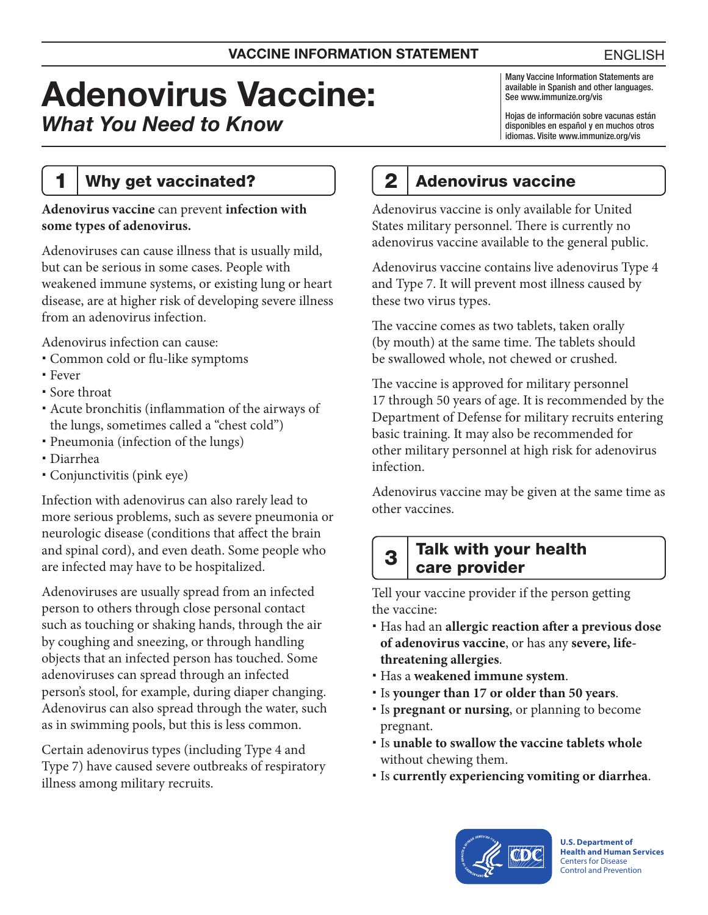# Adenovirus Vaccine: *What You Need to Know*

Many Vaccine Information Statements are available in Spanish and other languages. See [www.immunize.org/vis](http://www.immunize.org/vis)

Hojas de información sobre vacunas están disponibles en español y en muchos otros idiomas. Visite [www.immunize.org/vis](http://www.immunize.org/vis)

#### 1 | Why get vaccinated?

#### **Adenovirus vaccine** can prevent **infection with some types of adenovirus.**

Adenoviruses can cause illness that is usually mild, but can be serious in some cases. People with weakened immune systems, or existing lung or heart disease, are at higher risk of developing severe illness from an adenovirus infection.

Adenovirus infection can cause:

- Common cold or flu-like symptoms
- Fever
- Sore throat
- Acute bronchitis (inflammation of the airways of the lungs, sometimes called a "chest cold")
- Pneumonia (infection of the lungs)
- Diarrhea
- Conjunctivitis (pink eye)

Infection with adenovirus can also rarely lead to more serious problems, such as severe pneumonia or neurologic disease (conditions that affect the brain and spinal cord), and even death. Some people who are infected may have to be hospitalized.

Adenoviruses are usually spread from an infected person to others through close personal contact such as touching or shaking hands, through the air by coughing and sneezing, or through handling objects that an infected person has touched. Some adenoviruses can spread through an infected person's stool, for example, during diaper changing. Adenovirus can also spread through the water, such as in swimming pools, but this is less common.

Certain adenovirus types (including Type 4 and Type 7) have caused severe outbreaks of respiratory illness among military recruits.

## 2 Adenovirus vaccine

Adenovirus vaccine is only available for United States military personnel. There is currently no adenovirus vaccine available to the general public.

Adenovirus vaccine contains live adenovirus Type 4 and Type 7. It will prevent most illness caused by these two virus types.

The vaccine comes as two tablets, taken orally (by mouth) at the same time. The tablets should be swallowed whole, not chewed or crushed.

The vaccine is approved for military personnel 17 through 50 years of age. It is recommended by the Department of Defense for military recruits entering basic training. It may also be recommended for other military personnel at high risk for adenovirus infection.

Adenovirus vaccine may be given at the same time as other vaccines.

#### $3$  Talk with your health care provider

Tell your vaccine provider if the person getting the vaccine:

- Has had an **allergic reaction after a previous dose of adenovirus vaccine**, or has any **severe, lifethreatening allergies**.
- Has a **weakened immune system**.
- Is **younger than 17 or older than 50 years**.
- Is **pregnant or nursing**, or planning to become pregnant.
- Is **unable to swallow the vaccine tablets whole**  without chewing them.
- Is **currently experiencing vomiting or diarrhea**.



**U.S. Department of Health and Human Services**  Centers for Disease Control and Prevention